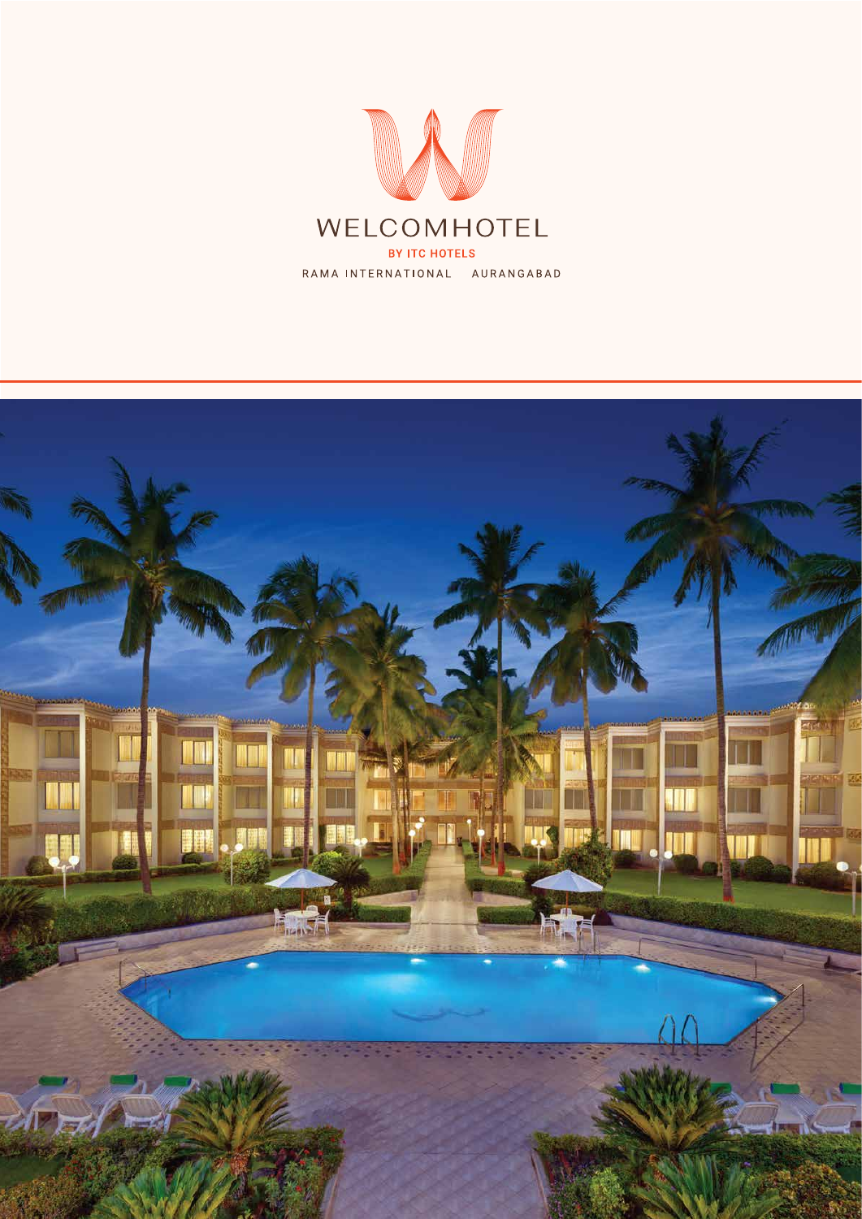

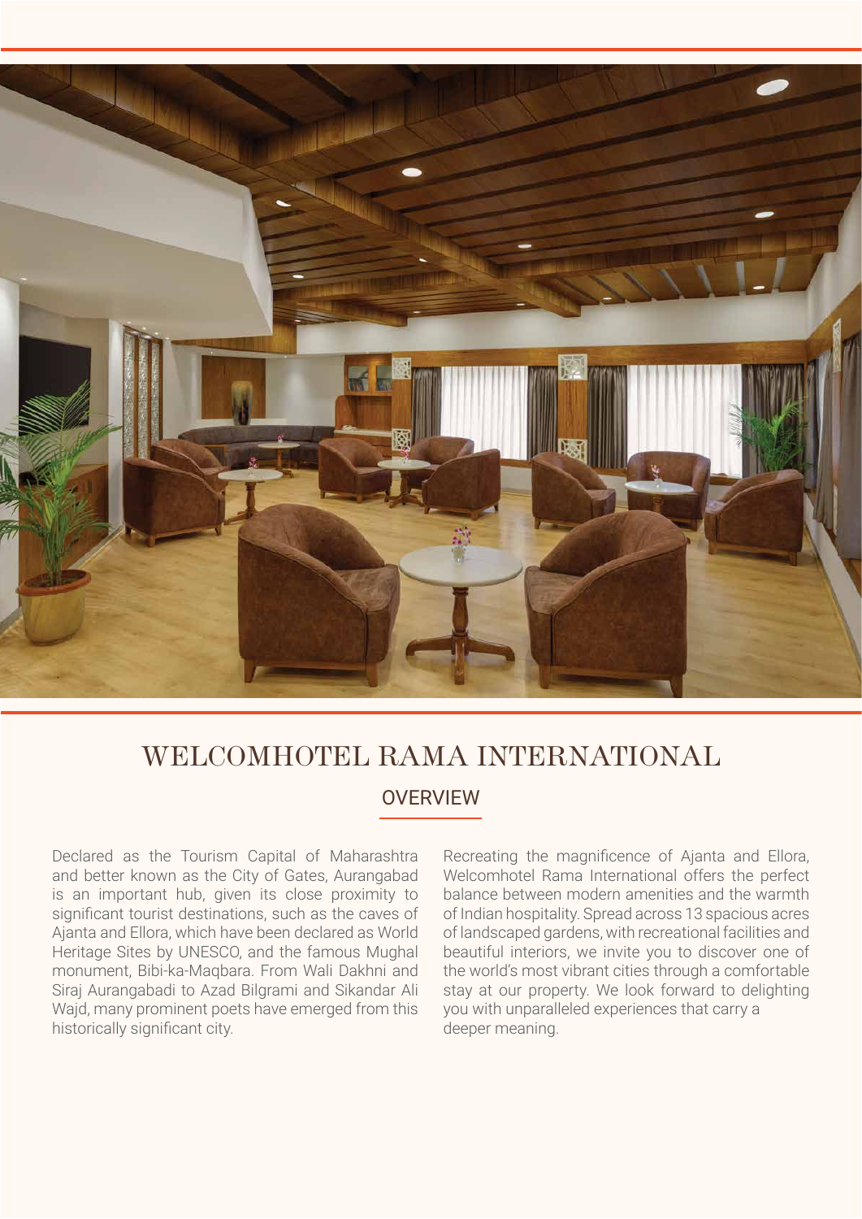

# WELCOMHOTEL RAMA INTERNATIONAL

**OVERVIEW** 

Declared as the Tourism Capital of Maharashtra and better known as the City of Gates, Aurangabad is an important hub, given its close proximity to significant tourist destinations, such as the caves of Ajanta and Ellora, which have been declared as World Heritage Sites by UNESCO, and the famous Mughal monument, Bibi-ka-Maqbara. From Wali Dakhni and Siraj Aurangabadi to Azad Bilgrami and Sikandar Ali Wajd, many prominent poets have emerged from this historically significant city.

Recreating the magnificence of Ajanta and Ellora, Welcomhotel Rama International offers the perfect balance between modern amenities and the warmth of Indian hospitality. Spread across 13 spacious acres of landscaped gardens, with recreational facilities and beautiful interiors, we invite you to discover one of the world's most vibrant cities through a comfortable stay at our property. We look forward to delighting you with unparalleled experiences that carry a deeper meaning.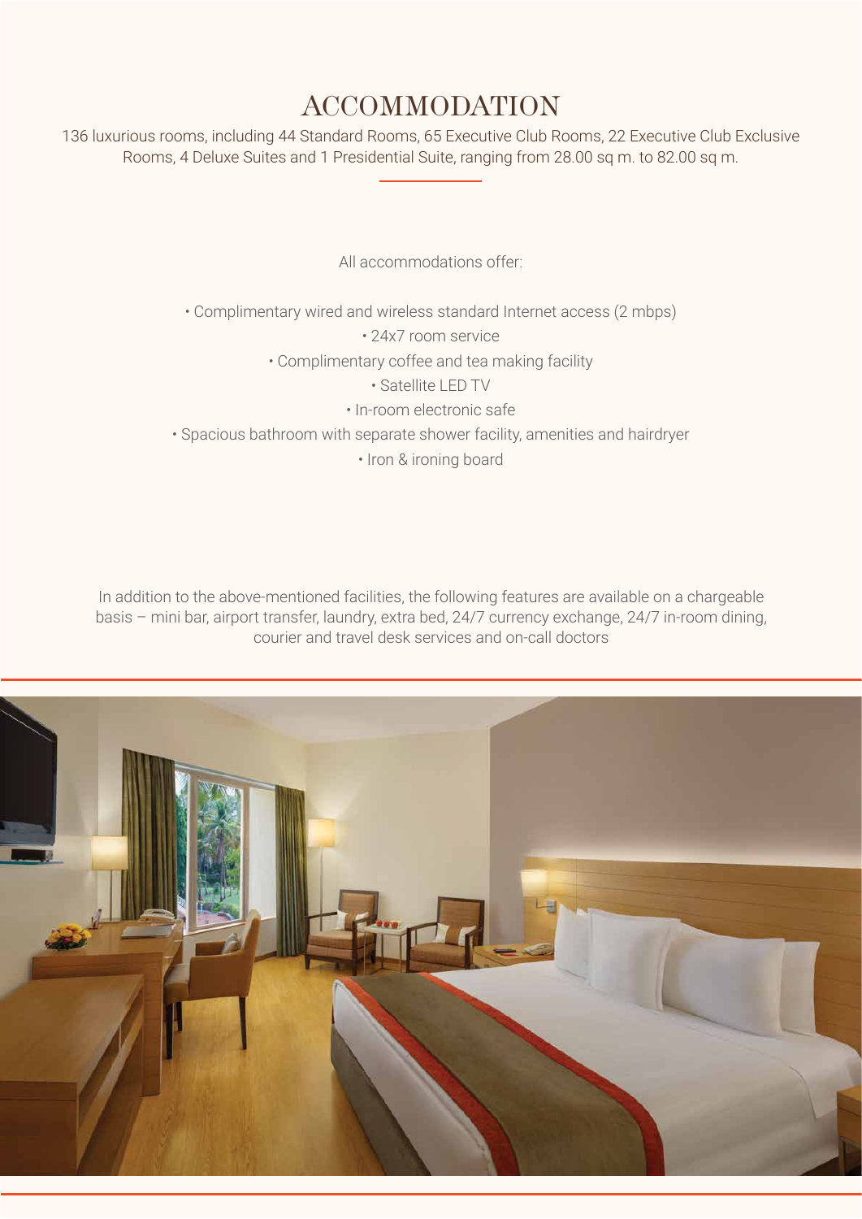### ACCOMMODATION

136 luxurious rooms, including 44 Standard Rooms, 65 Executive Club Rooms, 22 Executive Club Exclusive Rooms, 4 Deluxe Suites and 1 Presidential Suite, ranging from 28.00 sq m. to 82.00 sq m.

All accommodations offer:

• Complimentary wired and wireless standard Internet access (2 mbps)

• 24x7 room service

• Complimentary coffee and tea making facility

- Satellite LED TV
- In-room electronic safe

• Spacious bathroom with separate shower facility, amenities and hairdryer

• Iron & ironing board

In addition to the above-mentioned facilities, the following features are available on a chargeable basis – mini bar, airport transfer, laundry, extra bed, 24/7 currency exchange, 24/7 in-room dining, courier and travel desk services and on-call doctors

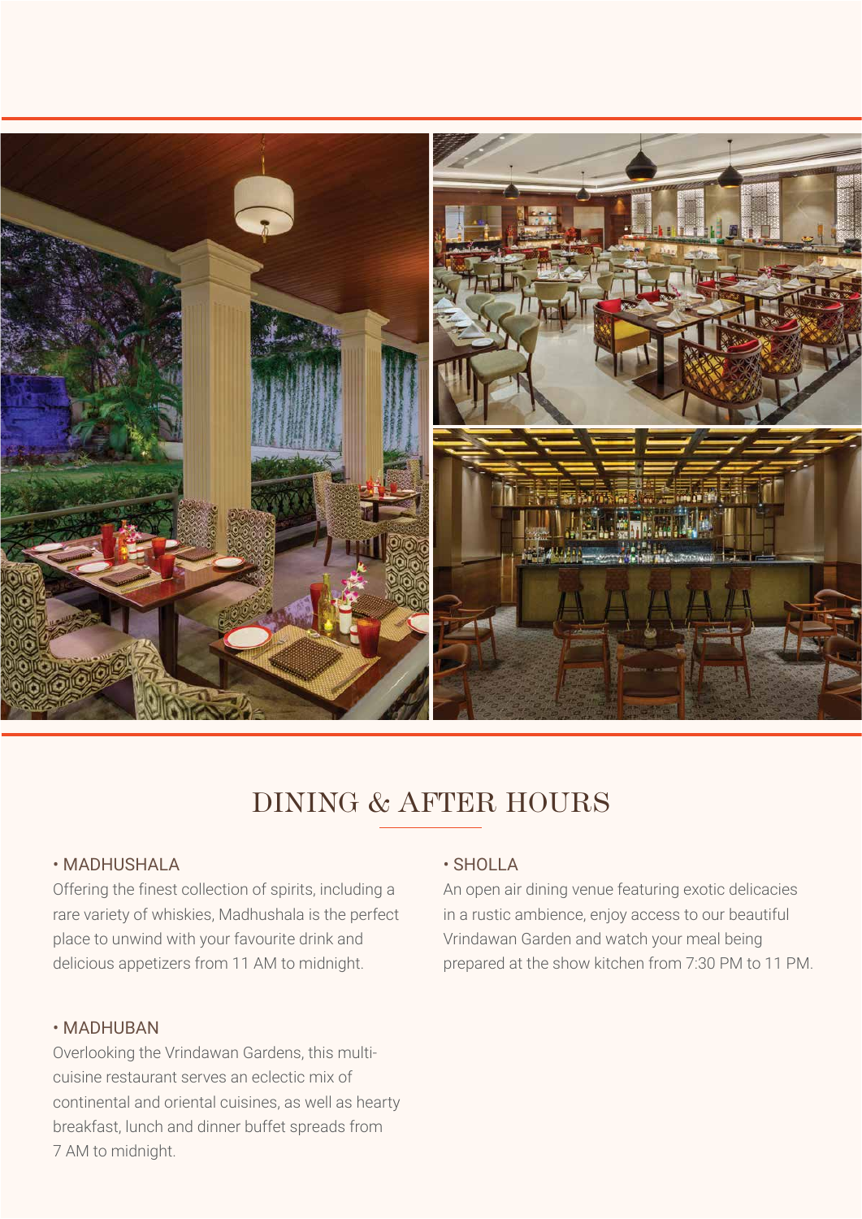

### DINING & AFTER HOURS

#### • MADHUSHALA

Offering the finest collection of spirits, including a rare variety of whiskies, Madhushala is the perfect place to unwind with your favourite drink and delicious appetizers from 11 AM to midnight.

#### • MADHUBAN

Overlooking the Vrindawan Gardens, this multicuisine restaurant serves an eclectic mix of continental and oriental cuisines, as well as hearty breakfast, lunch and dinner buffet spreads from 7 AM to midnight.

#### • SHOLLA

An open air dining venue featuring exotic delicacies in a rustic ambience, enjoy access to our beautiful Vrindawan Garden and watch your meal being prepared at the show kitchen from 7:30 PM to 11 PM.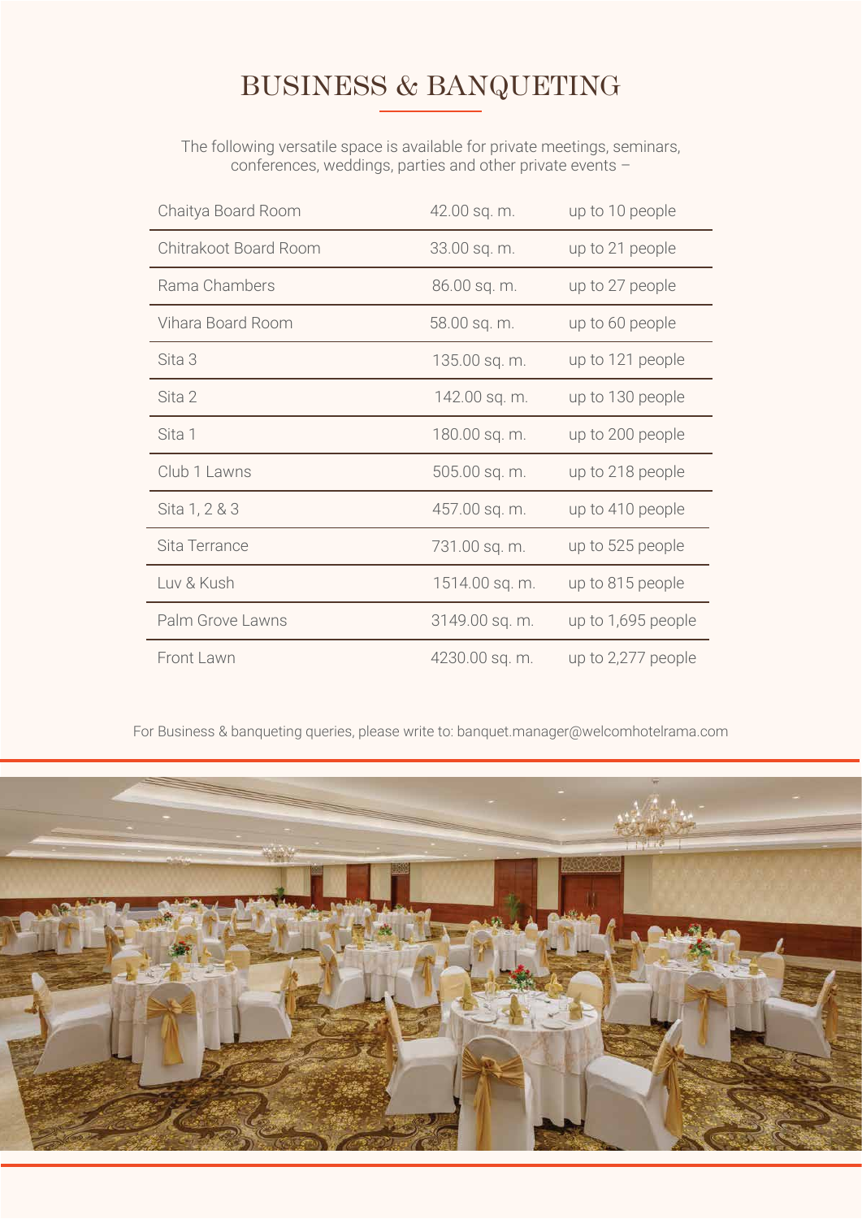### BUSINESS & BANQUETING

The following versatile space is available for private meetings, seminars, conferences, weddings, parties and other private events –

| Chaitya Board Room    | 42.00 sq. m.   | up to 10 people    |
|-----------------------|----------------|--------------------|
| Chitrakoot Board Room | 33.00 sq. m.   | up to 21 people    |
| Rama Chambers         | 86.00 sq. m.   | up to 27 people    |
| Vihara Board Room     | 58.00 sq. m.   | up to 60 people    |
| Sita 3                | 135.00 sq. m.  | up to 121 people   |
| Sita 2                | 142.00 sq. m.  | up to 130 people   |
| Sita 1                | 180.00 sq. m.  | up to 200 people   |
| Club 1 Lawns          | 505.00 sq. m.  | up to 218 people   |
| Sita 1, 2 & 3         | 457.00 sq. m.  | up to 410 people   |
| Sita Terrance         | 731.00 sq. m.  | up to 525 people   |
| Luv & Kush            | 1514.00 sq. m. | up to 815 people   |
| Palm Grove Lawns      | 3149.00 sq. m. | up to 1,695 people |
| Front Lawn            | 4230.00 sq. m. | up to 2,277 people |

For Business & banqueting queries, please write to: banquet.manager@welcomhotelrama.com

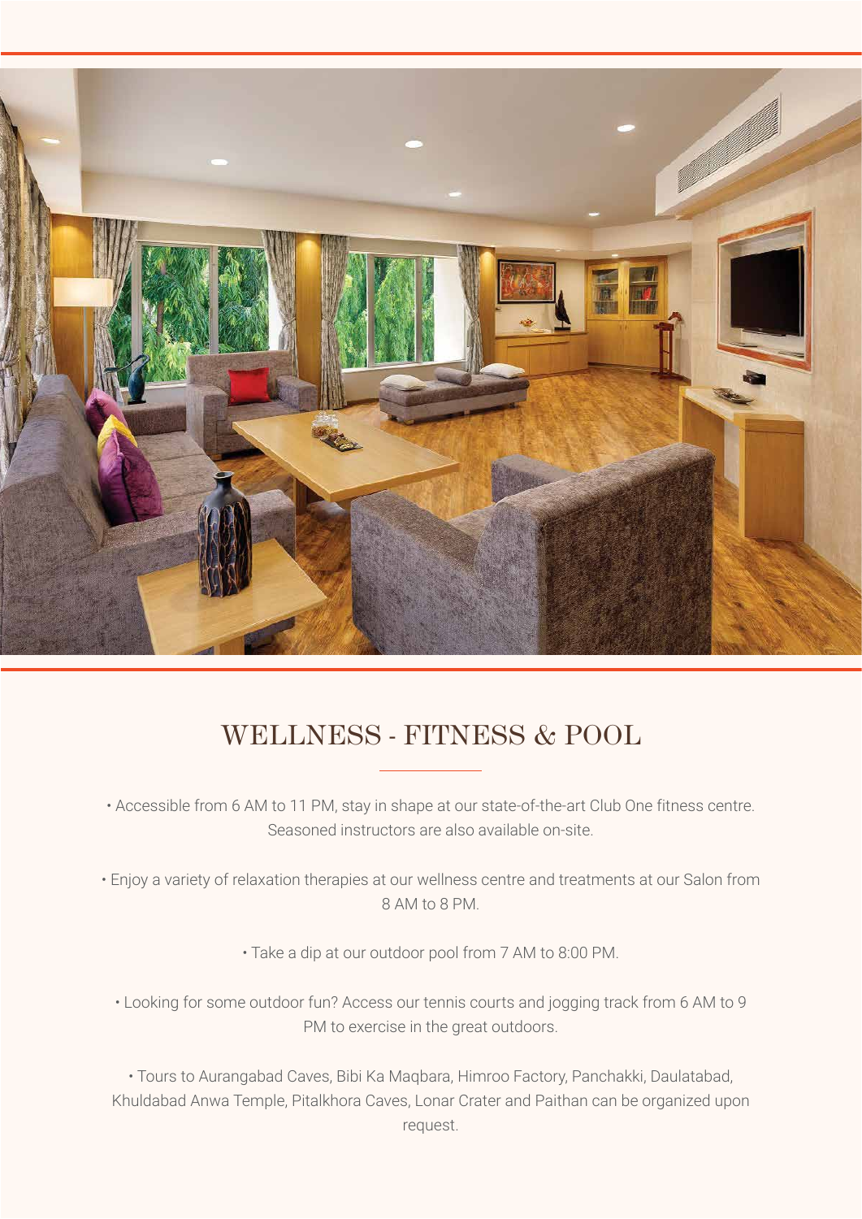

### WELLNESS - FITNESS & POOL

• Accessible from 6 AM to 11 PM, stay in shape at our state-of-the-art Club One fitness centre. Seasoned instructors are also available on-site.

• Enjoy a variety of relaxation therapies at our wellness centre and treatments at our Salon from 8 AM to 8 PM.

• Take a dip at our outdoor pool from 7 AM to 8:00 PM.

• Looking for some outdoor fun? Access our tennis courts and jogging track from 6 AM to 9 PM to exercise in the great outdoors.

• Tours to Aurangabad Caves, Bibi Ka Maqbara, Himroo Factory, Panchakki, Daulatabad, Khuldabad Anwa Temple, Pitalkhora Caves, Lonar Crater and Paithan can be organized upon request.